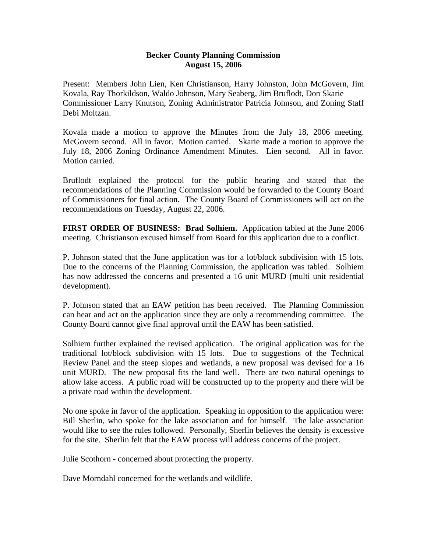## **Becker County Planning Commission August 15, 2006**

Present: Members John Lien, Ken Christianson, Harry Johnston, John McGovern, Jim Kovala, Ray Thorkildson, Waldo Johnson, Mary Seaberg, Jim Bruflodt, Don Skarie Commissioner Larry Knutson, Zoning Administrator Patricia Johnson, and Zoning Staff Debi Moltzan.

Kovala made a motion to approve the Minutes from the July 18, 2006 meeting. McGovern second. All in favor. Motion carried. Skarie made a motion to approve the July 18, 2006 Zoning Ordinance Amendment Minutes. Lien second. All in favor. Motion carried.

Bruflodt explained the protocol for the public hearing and stated that the recommendations of the Planning Commission would be forwarded to the County Board of Commissioners for final action. The County Board of Commissioners will act on the recommendations on Tuesday, August 22, 2006.

**FIRST ORDER OF BUSINESS: Brad Solhiem.** Application tabled at the June 2006 meeting. Christianson excused himself from Board for this application due to a conflict.

P. Johnson stated that the June application was for a lot/block subdivision with 15 lots. Due to the concerns of the Planning Commission, the application was tabled. Solhiem has now addressed the concerns and presented a 16 unit MURD (multi unit residential development).

P. Johnson stated that an EAW petition has been received. The Planning Commission can hear and act on the application since they are only a recommending committee. The County Board cannot give final approval until the EAW has been satisfied.

Solhiem further explained the revised application. The original application was for the traditional lot/block subdivision with 15 lots. Due to suggestions of the Technical Review Panel and the steep slopes and wetlands, a new proposal was devised for a 16 unit MURD. The new proposal fits the land well. There are two natural openings to allow lake access. A public road will be constructed up to the property and there will be a private road within the development.

No one spoke in favor of the application. Speaking in opposition to the application were: Bill Sherlin, who spoke for the lake association and for himself. The lake association would like to see the rules followed. Personally, Sherlin believes the density is excessive for the site. Sherlin felt that the EAW process will address concerns of the project.

Julie Scothorn - concerned about protecting the property.

Dave Morndahl concerned for the wetlands and wildlife.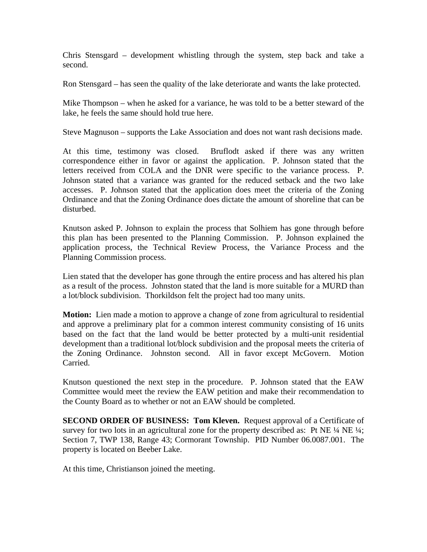Chris Stensgard – development whistling through the system, step back and take a second.

Ron Stensgard – has seen the quality of the lake deteriorate and wants the lake protected.

Mike Thompson – when he asked for a variance, he was told to be a better steward of the lake, he feels the same should hold true here.

Steve Magnuson – supports the Lake Association and does not want rash decisions made.

At this time, testimony was closed. Bruflodt asked if there was any written correspondence either in favor or against the application. P. Johnson stated that the letters received from COLA and the DNR were specific to the variance process. P. Johnson stated that a variance was granted for the reduced setback and the two lake accesses. P. Johnson stated that the application does meet the criteria of the Zoning Ordinance and that the Zoning Ordinance does dictate the amount of shoreline that can be disturbed.

Knutson asked P. Johnson to explain the process that Solhiem has gone through before this plan has been presented to the Planning Commission. P. Johnson explained the application process, the Technical Review Process, the Variance Process and the Planning Commission process.

Lien stated that the developer has gone through the entire process and has altered his plan as a result of the process. Johnston stated that the land is more suitable for a MURD than a lot/block subdivision. Thorkildson felt the project had too many units.

**Motion:** Lien made a motion to approve a change of zone from agricultural to residential and approve a preliminary plat for a common interest community consisting of 16 units based on the fact that the land would be better protected by a multi-unit residential development than a traditional lot/block subdivision and the proposal meets the criteria of the Zoning Ordinance. Johnston second. All in favor except McGovern. Motion Carried.

Knutson questioned the next step in the procedure. P. Johnson stated that the EAW Committee would meet the review the EAW petition and make their recommendation to the County Board as to whether or not an EAW should be completed.

**SECOND ORDER OF BUSINESS: Tom Kleven.** Request approval of a Certificate of survey for two lots in an agricultural zone for the property described as: Pt NE  $\frac{1}{4}$  NE  $\frac{1}{4}$ ; Section 7, TWP 138, Range 43; Cormorant Township. PID Number 06.0087.001. The property is located on Beeber Lake.

At this time, Christianson joined the meeting.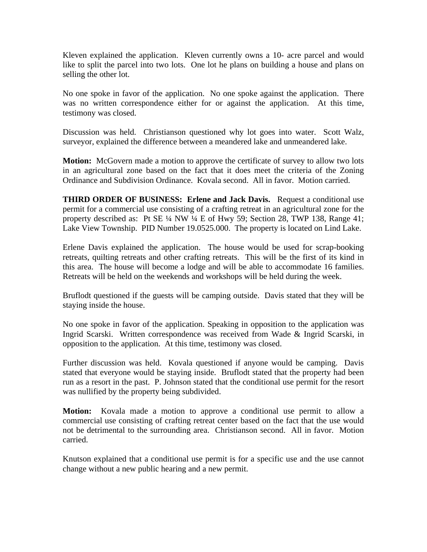Kleven explained the application. Kleven currently owns a 10- acre parcel and would like to split the parcel into two lots. One lot he plans on building a house and plans on selling the other lot.

No one spoke in favor of the application. No one spoke against the application. There was no written correspondence either for or against the application. At this time, testimony was closed.

Discussion was held. Christianson questioned why lot goes into water. Scott Walz, surveyor, explained the difference between a meandered lake and unmeandered lake.

**Motion:** McGovern made a motion to approve the certificate of survey to allow two lots in an agricultural zone based on the fact that it does meet the criteria of the Zoning Ordinance and Subdivision Ordinance. Kovala second. All in favor. Motion carried.

**THIRD ORDER OF BUSINESS: Erlene and Jack Davis.** Request a conditional use permit for a commercial use consisting of a crafting retreat in an agricultural zone for the property described as: Pt SE ¼ NW ¼ E of Hwy 59; Section 28, TWP 138, Range 41; Lake View Township. PID Number 19.0525.000. The property is located on Lind Lake.

Erlene Davis explained the application. The house would be used for scrap-booking retreats, quilting retreats and other crafting retreats. This will be the first of its kind in this area. The house will become a lodge and will be able to accommodate 16 families. Retreats will be held on the weekends and workshops will be held during the week.

Bruflodt questioned if the guests will be camping outside. Davis stated that they will be staying inside the house.

No one spoke in favor of the application. Speaking in opposition to the application was Ingrid Scarski. Written correspondence was received from Wade & Ingrid Scarski, in opposition to the application. At this time, testimony was closed.

Further discussion was held. Kovala questioned if anyone would be camping. Davis stated that everyone would be staying inside. Bruflodt stated that the property had been run as a resort in the past. P. Johnson stated that the conditional use permit for the resort was nullified by the property being subdivided.

**Motion:** Kovala made a motion to approve a conditional use permit to allow a commercial use consisting of crafting retreat center based on the fact that the use would not be detrimental to the surrounding area. Christianson second. All in favor. Motion carried.

Knutson explained that a conditional use permit is for a specific use and the use cannot change without a new public hearing and a new permit.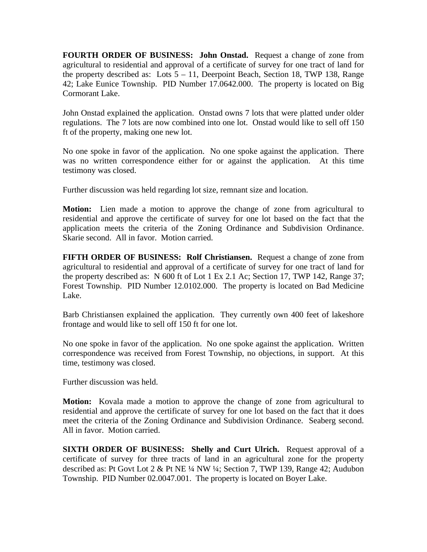**FOURTH ORDER OF BUSINESS: John Onstad.** Request a change of zone from agricultural to residential and approval of a certificate of survey for one tract of land for the property described as: Lots  $5 - 11$ , Deerpoint Beach, Section 18, TWP 138, Range 42; Lake Eunice Township. PID Number 17.0642.000. The property is located on Big Cormorant Lake.

John Onstad explained the application. Onstad owns 7 lots that were platted under older regulations. The 7 lots are now combined into one lot. Onstad would like to sell off 150 ft of the property, making one new lot.

No one spoke in favor of the application. No one spoke against the application. There was no written correspondence either for or against the application. At this time testimony was closed.

Further discussion was held regarding lot size, remnant size and location.

**Motion:** Lien made a motion to approve the change of zone from agricultural to residential and approve the certificate of survey for one lot based on the fact that the application meets the criteria of the Zoning Ordinance and Subdivision Ordinance. Skarie second. All in favor. Motion carried.

**FIFTH ORDER OF BUSINESS: Rolf Christiansen.** Request a change of zone from agricultural to residential and approval of a certificate of survey for one tract of land for the property described as: N 600 ft of Lot 1 Ex 2.1 Ac; Section 17, TWP 142, Range 37; Forest Township. PID Number 12.0102.000. The property is located on Bad Medicine Lake.

Barb Christiansen explained the application. They currently own 400 feet of lakeshore frontage and would like to sell off 150 ft for one lot.

No one spoke in favor of the application. No one spoke against the application. Written correspondence was received from Forest Township, no objections, in support. At this time, testimony was closed.

Further discussion was held.

**Motion:** Kovala made a motion to approve the change of zone from agricultural to residential and approve the certificate of survey for one lot based on the fact that it does meet the criteria of the Zoning Ordinance and Subdivision Ordinance. Seaberg second. All in favor. Motion carried.

**SIXTH ORDER OF BUSINESS: Shelly and Curt Ulrich.** Request approval of a certificate of survey for three tracts of land in an agricultural zone for the property described as: Pt Govt Lot 2 & Pt NE ¼ NW ¼; Section 7, TWP 139, Range 42; Audubon Township. PID Number 02.0047.001. The property is located on Boyer Lake.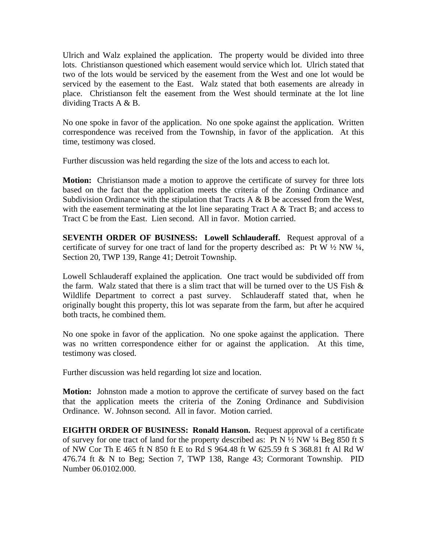Ulrich and Walz explained the application. The property would be divided into three lots. Christianson questioned which easement would service which lot. Ulrich stated that two of the lots would be serviced by the easement from the West and one lot would be serviced by the easement to the East. Walz stated that both easements are already in place. Christianson felt the easement from the West should terminate at the lot line dividing Tracts A & B.

No one spoke in favor of the application. No one spoke against the application. Written correspondence was received from the Township, in favor of the application. At this time, testimony was closed.

Further discussion was held regarding the size of the lots and access to each lot.

**Motion:** Christianson made a motion to approve the certificate of survey for three lots based on the fact that the application meets the criteria of the Zoning Ordinance and Subdivision Ordinance with the stipulation that Tracts A  $\&$  B be accessed from the West, with the easement terminating at the lot line separating Tract A & Tract B; and access to Tract C be from the East. Lien second. All in favor. Motion carried.

**SEVENTH ORDER OF BUSINESS: Lowell Schlauderaff.** Request approval of a certificate of survey for one tract of land for the property described as: Pt W  $\frac{1}{2}$  NW  $\frac{1}{4}$ , Section 20, TWP 139, Range 41; Detroit Township.

Lowell Schlauderaff explained the application. One tract would be subdivided off from the farm. Walz stated that there is a slim tract that will be turned over to the US Fish  $\&$ Wildlife Department to correct a past survey. Schlauderaff stated that, when he originally bought this property, this lot was separate from the farm, but after he acquired both tracts, he combined them.

No one spoke in favor of the application. No one spoke against the application. There was no written correspondence either for or against the application. At this time, testimony was closed.

Further discussion was held regarding lot size and location.

**Motion:** Johnston made a motion to approve the certificate of survey based on the fact that the application meets the criteria of the Zoning Ordinance and Subdivision Ordinance. W. Johnson second. All in favor. Motion carried.

**EIGHTH ORDER OF BUSINESS: Ronald Hanson.** Request approval of a certificate of survey for one tract of land for the property described as: Pt N  $\frac{1}{2}$  NW  $\frac{1}{4}$  Beg 850 ft S of NW Cor Th E 465 ft N 850 ft E to Rd S 964.48 ft W 625.59 ft S 368.81 ft Al Rd W 476.74 ft & N to Beg; Section 7, TWP 138, Range 43; Cormorant Township. PID Number 06.0102.000.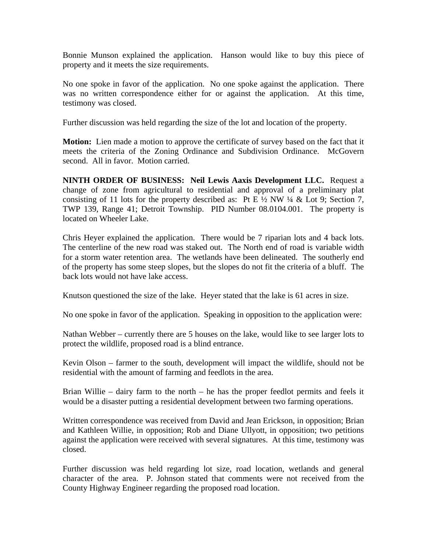Bonnie Munson explained the application. Hanson would like to buy this piece of property and it meets the size requirements.

No one spoke in favor of the application. No one spoke against the application. There was no written correspondence either for or against the application. At this time, testimony was closed.

Further discussion was held regarding the size of the lot and location of the property.

**Motion:** Lien made a motion to approve the certificate of survey based on the fact that it meets the criteria of the Zoning Ordinance and Subdivision Ordinance. McGovern second. All in favor. Motion carried.

**NINTH ORDER OF BUSINESS: Neil Lewis Aaxis Development LLC.** Request a change of zone from agricultural to residential and approval of a preliminary plat consisting of 11 lots for the property described as: Pt E  $\frac{1}{2}$  NW  $\frac{1}{4}$  & Lot 9; Section 7, TWP 139, Range 41; Detroit Township. PID Number 08.0104.001. The property is located on Wheeler Lake.

Chris Heyer explained the application. There would be 7 riparian lots and 4 back lots. The centerline of the new road was staked out. The North end of road is variable width for a storm water retention area. The wetlands have been delineated. The southerly end of the property has some steep slopes, but the slopes do not fit the criteria of a bluff. The back lots would not have lake access.

Knutson questioned the size of the lake. Heyer stated that the lake is 61 acres in size.

No one spoke in favor of the application. Speaking in opposition to the application were:

Nathan Webber – currently there are 5 houses on the lake, would like to see larger lots to protect the wildlife, proposed road is a blind entrance.

Kevin Olson – farmer to the south, development will impact the wildlife, should not be residential with the amount of farming and feedlots in the area.

Brian Willie – dairy farm to the north – he has the proper feedlot permits and feels it would be a disaster putting a residential development between two farming operations.

Written correspondence was received from David and Jean Erickson, in opposition; Brian and Kathleen Willie, in opposition; Rob and Diane Ullyott, in opposition; two petitions against the application were received with several signatures. At this time, testimony was closed.

Further discussion was held regarding lot size, road location, wetlands and general character of the area. P. Johnson stated that comments were not received from the County Highway Engineer regarding the proposed road location.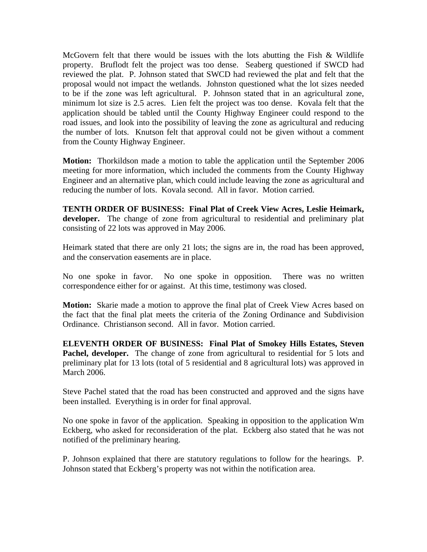McGovern felt that there would be issues with the lots abutting the Fish  $\&$  Wildlife property. Bruflodt felt the project was too dense. Seaberg questioned if SWCD had reviewed the plat. P. Johnson stated that SWCD had reviewed the plat and felt that the proposal would not impact the wetlands. Johnston questioned what the lot sizes needed to be if the zone was left agricultural. P. Johnson stated that in an agricultural zone, minimum lot size is 2.5 acres. Lien felt the project was too dense. Kovala felt that the application should be tabled until the County Highway Engineer could respond to the road issues, and look into the possibility of leaving the zone as agricultural and reducing the number of lots. Knutson felt that approval could not be given without a comment from the County Highway Engineer.

**Motion:** Thorkildson made a motion to table the application until the September 2006 meeting for more information, which included the comments from the County Highway Engineer and an alternative plan, which could include leaving the zone as agricultural and reducing the number of lots. Kovala second. All in favor. Motion carried.

**TENTH ORDER OF BUSINESS: Final Plat of Creek View Acres, Leslie Heimark, developer.** The change of zone from agricultural to residential and preliminary plat consisting of 22 lots was approved in May 2006.

Heimark stated that there are only 21 lots; the signs are in, the road has been approved, and the conservation easements are in place.

No one spoke in favor. No one spoke in opposition. There was no written correspondence either for or against. At this time, testimony was closed.

**Motion:** Skarie made a motion to approve the final plat of Creek View Acres based on the fact that the final plat meets the criteria of the Zoning Ordinance and Subdivision Ordinance. Christianson second. All in favor. Motion carried.

**ELEVENTH ORDER OF BUSINESS: Final Plat of Smokey Hills Estates, Steven**  Pachel, developer. The change of zone from agricultural to residential for 5 lots and preliminary plat for 13 lots (total of 5 residential and 8 agricultural lots) was approved in March 2006.

Steve Pachel stated that the road has been constructed and approved and the signs have been installed. Everything is in order for final approval.

No one spoke in favor of the application. Speaking in opposition to the application Wm Eckberg, who asked for reconsideration of the plat. Eckberg also stated that he was not notified of the preliminary hearing.

P. Johnson explained that there are statutory regulations to follow for the hearings. P. Johnson stated that Eckberg's property was not within the notification area.